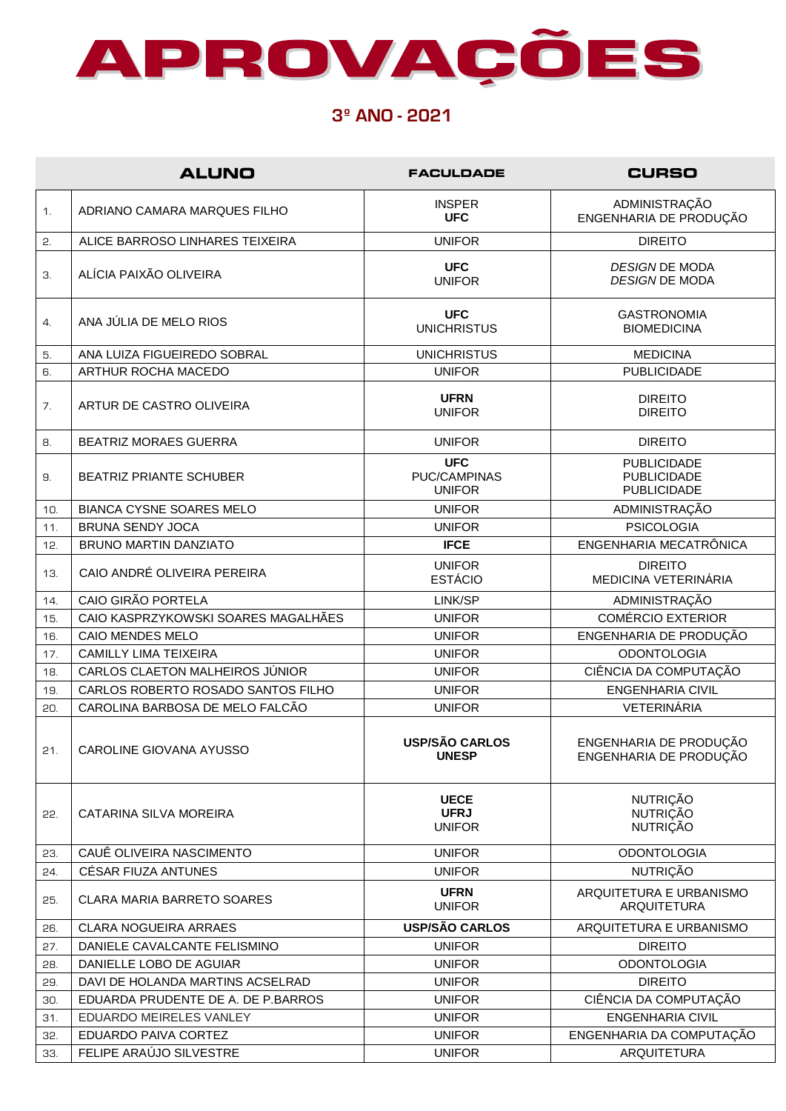

## **3º ANO - 2021**

|     | <b>ALUNO</b>                        | <b>FACULDADE</b>                                   | <b>CURSO</b>                                                   |
|-----|-------------------------------------|----------------------------------------------------|----------------------------------------------------------------|
| 1.  | ADRIANO CAMARA MARQUES FILHO        | <b>INSPER</b><br><b>UFC</b>                        | ADMINISTRAÇÃO<br>ENGENHARIA DE PRODUÇÃO                        |
| 2.  | ALICE BARROSO LINHARES TEIXEIRA     | <b>UNIFOR</b>                                      | <b>DIREITO</b>                                                 |
| З.  | ALÍCIA PAIXÃO OLIVEIRA              | <b>UFC</b><br><b>UNIFOR</b>                        | <b>DESIGN DE MODA</b><br><b>DESIGN DE MODA</b>                 |
| 4.  | ANA JÚLIA DE MELO RIOS              | <b>UFC</b><br><b>UNICHRISTUS</b>                   | <b>GASTRONOMIA</b><br><b>BIOMEDICINA</b>                       |
| 5.  | ANA LUIZA FIGUEIREDO SOBRAL         | <b>UNICHRISTUS</b>                                 | <b>MEDICINA</b>                                                |
| 6.  | ARTHUR ROCHA MACEDO                 | <b>UNIFOR</b>                                      | <b>PUBLICIDADE</b>                                             |
| 7.  | ARTUR DE CASTRO OLIVEIRA            | <b>UFRN</b><br><b>UNIFOR</b>                       | <b>DIREITO</b><br><b>DIREITO</b>                               |
| 8.  | <b>BEATRIZ MORAES GUERRA</b>        | <b>UNIFOR</b>                                      | <b>DIREITO</b>                                                 |
| 9.  | <b>BEATRIZ PRIANTE SCHUBER</b>      | <b>UFC</b><br><b>PUC/CAMPINAS</b><br><b>UNIFOR</b> | <b>PUBLICIDADE</b><br><b>PUBLICIDADE</b><br><b>PUBLICIDADE</b> |
| 10. | <b>BIANCA CYSNE SOARES MELO</b>     | <b>UNIFOR</b>                                      | ADMINISTRAÇÃO                                                  |
| 11. | <b>BRUNA SENDY JOCA</b>             | <b>UNIFOR</b>                                      | <b>PSICOLOGIA</b>                                              |
| 12. | BRUNO MARTIN DANZIATO               | <b>IFCE</b>                                        | ENGENHARIA MECATRÔNICA                                         |
| 13. | CAIO ANDRÉ OLIVEIRA PEREIRA         | <b>UNIFOR</b><br><b>ESTÁCIO</b>                    | <b>DIREITO</b><br>MEDICINA VETERINÁRIA                         |
| 14. | CAIO GIRÃO PORTELA                  | LINK/SP                                            | ADMINISTRAÇÃO                                                  |
| 15. | CAIO KASPRZYKOWSKI SOARES MAGALHÃES | <b>UNIFOR</b>                                      | <b>COMÉRCIO EXTERIOR</b>                                       |
| 16. | <b>CAIO MENDES MELO</b>             | <b>UNIFOR</b>                                      | ENGENHARIA DE PRODUÇÃO                                         |
| 17. | <b>CAMILLY LIMA TEIXEIRA</b>        | <b>UNIFOR</b>                                      | <b>ODONTOLOGIA</b>                                             |
| 18. | CARLOS CLAETON MALHEIROS JÚNIOR     | <b>UNIFOR</b>                                      | CIÊNCIA DA COMPUTAÇÃO                                          |
| 19. | CARLOS ROBERTO ROSADO SANTOS FILHO  | <b>UNIFOR</b>                                      | <b>ENGENHARIA CIVIL</b>                                        |
| 20. | CAROLINA BARBOSA DE MELO FALCÃO     | <b>UNIFOR</b>                                      | VETERINÁRIA                                                    |
| 21. | CAROLINE GIOVANA AYUSSO             | <b>USP/SÃO CARLOS</b><br><b>UNESP</b>              | ENGENHARIA DE PRODUÇÃO<br>ENGENHARIA DE PRODUÇÃO               |
| 55. | CATARINA SILVA MOREIRA              | <b>UECE</b><br><b>UFRJ</b><br><b>UNIFOR</b>        | <b>NUTRIÇÃO</b><br><b>NUTRIÇÃO</b><br><b>NUTRIÇÃO</b>          |
| 23. | CAUÊ OLIVEIRA NASCIMENTO            | <b>UNIFOR</b>                                      | <b>ODONTOLOGIA</b>                                             |
| 24. | CÉSAR FIUZA ANTUNES                 | <b>UNIFOR</b>                                      | <b>NUTRIÇÃO</b>                                                |
| 25. | <b>CLARA MARIA BARRETO SOARES</b>   | <b>UFRN</b><br><b>UNIFOR</b>                       | ARQUITETURA E URBANISMO<br><b>ARQUITETURA</b>                  |
| 26. | <b>CLARA NOGUEIRA ARRAES</b>        | <b>USP/SÃO CARLOS</b>                              | ARQUITETURA E URBANISMO                                        |
| 27. | DANIELE CAVALCANTE FELISMINO        | <b>UNIFOR</b>                                      | <b>DIREITO</b>                                                 |
| 28. | DANIELLE LOBO DE AGUIAR             | <b>UNIFOR</b>                                      | <b>ODONTOLOGIA</b>                                             |
| 29. | DAVI DE HOLANDA MARTINS ACSELRAD    | <b>UNIFOR</b>                                      | <b>DIREITO</b>                                                 |
| 30. | EDUARDA PRUDENTE DE A. DE P.BARROS  | <b>UNIFOR</b>                                      | CIÊNCIA DA COMPUTAÇÃO                                          |
| 31. | EDUARDO MEIRELES VANLEY             | <b>UNIFOR</b>                                      | <b>ENGENHARIA CIVIL</b>                                        |
| 32. | EDUARDO PAIVA CORTEZ                | <b>UNIFOR</b>                                      | ENGENHARIA DA COMPUTAÇÃO                                       |
| 33. | FELIPE ARAÚJO SILVESTRE             | <b>UNIFOR</b>                                      | ARQUITETURA                                                    |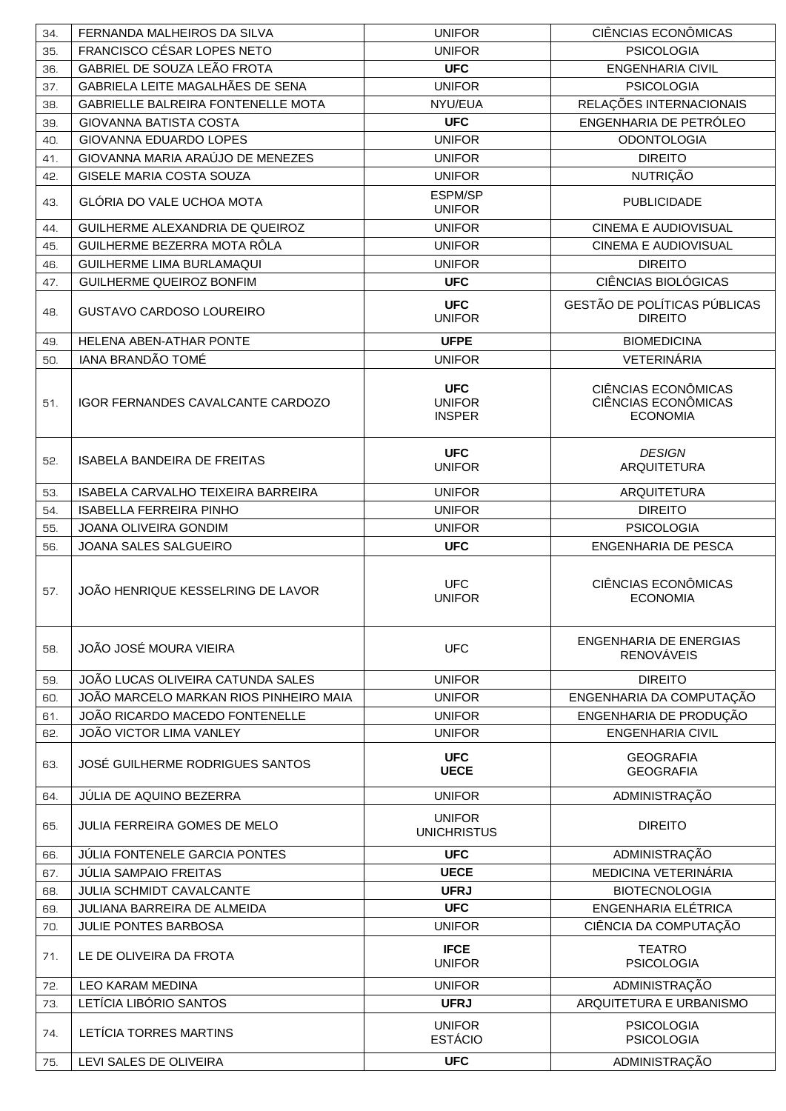| 34. | FERNANDA MALHEIROS DA SILVA              | <b>UNIFOR</b>                                | CIÊNCIAS ECONÔMICAS                                           |
|-----|------------------------------------------|----------------------------------------------|---------------------------------------------------------------|
| 35. | FRANCISCO CÉSAR LOPES NETO               | <b>UNIFOR</b>                                | <b>PSICOLOGIA</b>                                             |
| 36. | GABRIEL DE SOUZA LEÃO FROTA              | <b>UFC</b>                                   | <b>ENGENHARIA CIVIL</b>                                       |
| 37. | GABRIELA LEITE MAGALHÃES DE SENA         | <b>UNIFOR</b>                                | <b>PSICOLOGIA</b>                                             |
| 38. | GABRIELLE BALREIRA FONTENELLE MOTA       | NYU/EUA                                      | RELAÇÕES INTERNACIONAIS                                       |
| 39. | <b>GIOVANNA BATISTA COSTA</b>            | <b>UFC</b>                                   | ENGENHARIA DE PETRÓLEO                                        |
| 40. | GIOVANNA EDUARDO LOPES                   | <b>UNIFOR</b>                                | <b>ODONTOLOGIA</b>                                            |
| 41. | GIOVANNA MARIA ARAÚJO DE MENEZES         | <b>UNIFOR</b>                                | <b>DIREITO</b>                                                |
| 42. | <b>GISELE MARIA COSTA SOUZA</b>          | <b>UNIFOR</b>                                | <b>NUTRIÇÃO</b>                                               |
| 43. | GLÓRIA DO VALE UCHOA MOTA                | ESPM/SP<br><b>UNIFOR</b>                     | <b>PUBLICIDADE</b>                                            |
| 44. | GUILHERME ALEXANDRIA DE QUEIROZ          | <b>UNIFOR</b>                                | CINEMA E AUDIOVISUAL                                          |
| 45. | GUILHERME BEZERRA MOTA RÔLA              | <b>UNIFOR</b>                                | <b>CINEMA E AUDIOVISUAL</b>                                   |
| 46. | GUILHERME LIMA BURLAMAQUI                | <b>UNIFOR</b>                                | <b>DIREITO</b>                                                |
| 47. | GUILHERME QUEIROZ BONFIM                 | <b>UFC</b>                                   | CIÊNCIAS BIOLÓGICAS                                           |
| 48. | <b>GUSTAVO CARDOSO LOUREIRO</b>          | <b>UFC</b><br><b>UNIFOR</b>                  | GESTÃO DE POLÍTICAS PÚBLICAS<br><b>DIREITO</b>                |
| 49. | HELENA ABEN-ATHAR PONTE                  | <b>UFPE</b>                                  | <b>BIOMEDICINA</b>                                            |
| 50. | IANA BRANDÃO TOMÉ                        | <b>UNIFOR</b>                                | VETERINÁRIA                                                   |
| 51. | <b>IGOR FERNANDES CAVALCANTE CARDOZO</b> | <b>UFC</b><br><b>UNIFOR</b><br><b>INSPER</b> | CIÊNCIAS ECONÔMICAS<br>CIÊNCIAS ECONÔMICAS<br><b>ECONOMIA</b> |
| 52. | <b>ISABELA BANDEIRA DE FREITAS</b>       | <b>UFC</b><br><b>UNIFOR</b>                  | <b>DESIGN</b><br><b>ARQUITETURA</b>                           |
| 53. | ISABELA CARVALHO TEIXEIRA BARREIRA       | <b>UNIFOR</b>                                | <b>ARQUITETURA</b>                                            |
| 54. | <b>ISABELLA FERREIRA PINHO</b>           | <b>UNIFOR</b>                                | <b>DIREITO</b>                                                |
| 55. | JOANA OLIVEIRA GONDIM                    | <b>UNIFOR</b>                                | <b>PSICOLOGIA</b>                                             |
| 56. | JOANA SALES SALGUEIRO                    | <b>UFC</b>                                   | ENGENHARIA DE PESCA                                           |
| 57. | JOÃO HENRIQUE KESSELRING DE LAVOR        | <b>UFC</b><br><b>UNIFOR</b>                  | CIÊNCIAS ECONÔMICAS<br><b>ECONOMIA</b>                        |
| 58. | JOÃO JOSÉ MOURA VIEIRA                   | <b>UFC</b>                                   | ENGENHARIA DE ENERGIAS<br><b>RENOVÁVEIS</b>                   |
| 59. | JOÃO LUCAS OLIVEIRA CATUNDA SALES        | <b>UNIFOR</b>                                | <b>DIREITO</b>                                                |
| 60. | JOÃO MARCELO MARKAN RIOS PINHEIRO MAIA   | <b>UNIFOR</b>                                | ENGENHARIA DA COMPUTAÇÃO                                      |
| 61. | JOÃO RICARDO MACEDO FONTENELLE           | <b>UNIFOR</b>                                | ENGENHARIA DE PRODUÇÃO                                        |
| 62. | JOÃO VICTOR LIMA VANLEY                  | <b>UNIFOR</b>                                | <b>ENGENHARIA CIVIL</b>                                       |
| 63. | JOSÉ GUILHERME RODRIGUES SANTOS          | <b>UFC</b><br><b>UECE</b>                    | <b>GEOGRAFIA</b><br><b>GEOGRAFIA</b>                          |
| 64. | JÚLIA DE AQUINO BEZERRA                  | <b>UNIFOR</b>                                | ADMINISTRAÇÃO                                                 |
| 65. | <b>JULIA FERREIRA GOMES DE MELO</b>      | <b>UNIFOR</b><br><b>UNICHRISTUS</b>          | <b>DIREITO</b>                                                |
| 66. | JÚLIA FONTENELE GARCIA PONTES            | <b>UFC</b>                                   | ADMINISTRAÇÃO                                                 |
| 67. | <b>JÚLIA SAMPAIO FREITAS</b>             | <b>UECE</b>                                  | MEDICINA VETERINÁRIA                                          |
| 68. | JULIA SCHMIDT CAVALCANTE                 | <b>UFRJ</b>                                  | <b>BIOTECNOLOGIA</b>                                          |
| 69. | JULIANA BARREIRA DE ALMEIDA              | <b>UFC</b>                                   | ENGENHARIA ELÉTRICA                                           |
| 70. | <b>JULIE PONTES BARBOSA</b>              | <b>UNIFOR</b>                                | CIÊNCIA DA COMPUTAÇÃO                                         |
| 71. | LE DE OLIVEIRA DA FROTA                  | <b>IFCE</b><br><b>UNIFOR</b>                 | <b>TEATRO</b><br><b>PSICOLOGIA</b>                            |
| 72. | <b>LEO KARAM MEDINA</b>                  | <b>UNIFOR</b>                                | ADMINISTRAÇÃO                                                 |
| 73. | LETÍCIA LIBÓRIO SANTOS                   | <b>UFRJ</b>                                  | ARQUITETURA E URBANISMO                                       |
| 74. | LETÍCIA TORRES MARTINS                   | <b>UNIFOR</b><br><b>ESTÁCIO</b>              | <b>PSICOLOGIA</b><br><b>PSICOLOGIA</b>                        |
| 75. | LEVI SALES DE OLIVEIRA                   | <b>UFC</b>                                   | ADMINISTRAÇÃO                                                 |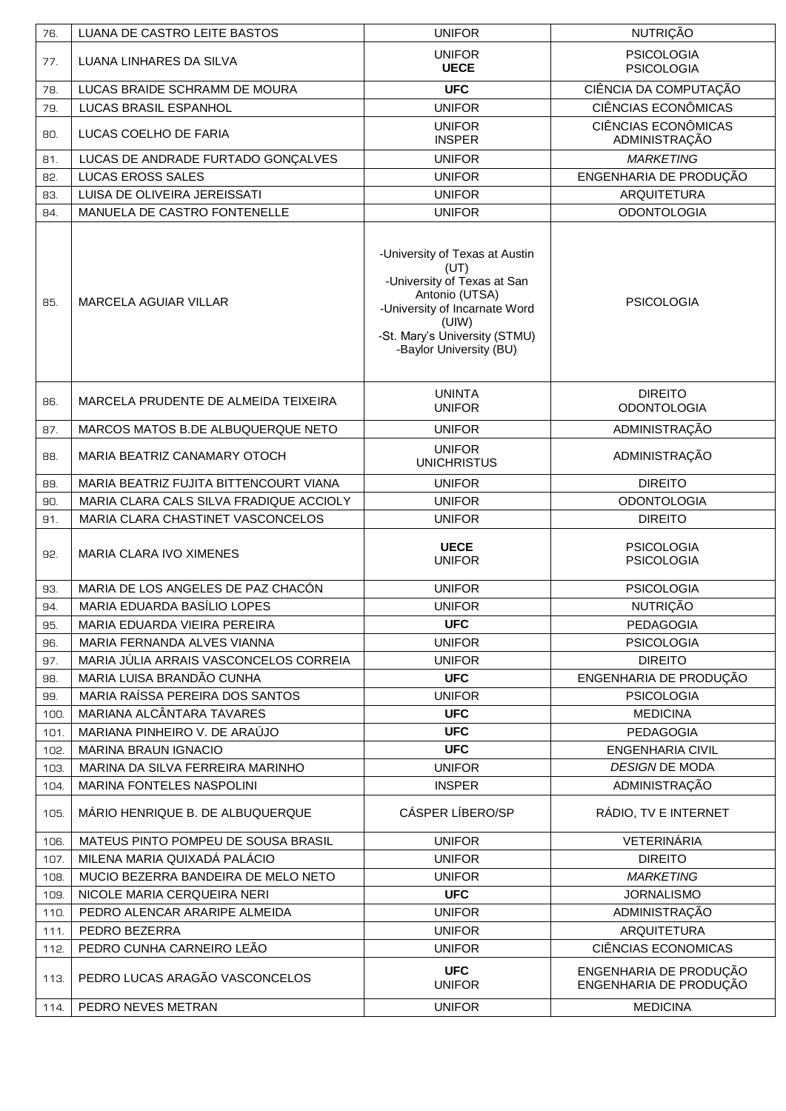| 76.  | LUANA DE CASTRO LEITE BASTOS            | <b>UNIFOR</b>                                                                                                                                                                                 | <b>NUTRIÇÃO</b>                                  |
|------|-----------------------------------------|-----------------------------------------------------------------------------------------------------------------------------------------------------------------------------------------------|--------------------------------------------------|
| 77.  | LUANA LINHARES DA SILVA                 | <b>UNIFOR</b><br><b>UECE</b>                                                                                                                                                                  | <b>PSICOLOGIA</b><br><b>PSICOLOGIA</b>           |
| 78.  | LUCAS BRAIDE SCHRAMM DE MOURA           | <b>UFC</b>                                                                                                                                                                                    | CIÊNCIA DA COMPUTAÇÃO                            |
| 79.  | <b>LUCAS BRASIL ESPANHOL</b>            | <b>UNIFOR</b>                                                                                                                                                                                 | CIÊNCIAS ECONÔMICAS                              |
| 80.  | LUCAS COELHO DE FARIA                   | <b>UNIFOR</b><br><b>INSPER</b>                                                                                                                                                                | <b>CIÊNCIAS ECONÔMICAS</b><br>ADMINISTRAÇÃO      |
| 81.  | LUCAS DE ANDRADE FURTADO GONÇALVES      | <b>UNIFOR</b>                                                                                                                                                                                 | <b>MARKETING</b>                                 |
| 82.  | <b>LUCAS EROSS SALES</b>                | <b>UNIFOR</b>                                                                                                                                                                                 | ENGENHARIA DE PRODUÇÃO                           |
| 83.  | LUISA DE OLIVEIRA JEREISSATI            | <b>UNIFOR</b>                                                                                                                                                                                 | <b>ARQUITETURA</b>                               |
| 84.  | MANUELA DE CASTRO FONTENELLE            | <b>UNIFOR</b>                                                                                                                                                                                 | <b>ODONTOLOGIA</b>                               |
| 85.  | <b>MARCELA AGUIAR VILLAR</b>            | -University of Texas at Austin<br>(UT)<br>-University of Texas at San<br>Antonio (UTSA)<br>-University of Incarnate Word<br>(UIW)<br>-St. Mary's University (STMU)<br>-Baylor University (BU) | <b>PSICOLOGIA</b>                                |
| 86.  | MARCELA PRUDENTE DE ALMEIDA TEIXEIRA    | <b>UNINTA</b><br><b>UNIFOR</b>                                                                                                                                                                | <b>DIREITO</b><br><b>ODONTOLOGIA</b>             |
| 87.  | MARCOS MATOS B.DE ALBUQUERQUE NETO      | <b>UNIFOR</b>                                                                                                                                                                                 | ADMINISTRAÇÃO                                    |
| 88.  | MARIA BEATRIZ CANAMARY OTOCH            | <b>UNIFOR</b><br><b>UNICHRISTUS</b>                                                                                                                                                           | ADMINISTRAÇÃO                                    |
| 89.  | MARIA BEATRIZ FUJITA BITTENCOURT VIANA  | <b>UNIFOR</b>                                                                                                                                                                                 | <b>DIREITO</b>                                   |
| 90.  | MARIA CLARA CALS SILVA FRADIQUE ACCIOLY | <b>UNIFOR</b>                                                                                                                                                                                 | <b>ODONTOLOGIA</b>                               |
| 91.  | MARIA CLARA CHASTINET VASCONCELOS       | <b>UNIFOR</b>                                                                                                                                                                                 | <b>DIREITO</b>                                   |
| 92.  | MARIA CLARA IVO XIMENES                 | <b>UECE</b><br><b>UNIFOR</b>                                                                                                                                                                  | <b>PSICOLOGIA</b><br><b>PSICOLOGIA</b>           |
| 93.  | MARIA DE LOS ANGELES DE PAZ CHACÓN      | <b>UNIFOR</b>                                                                                                                                                                                 | <b>PSICOLOGIA</b>                                |
| 94.  | MARIA EDUARDA BASÍLIO LOPES             | <b>UNIFOR</b>                                                                                                                                                                                 | <b>NUTRIÇÃO</b>                                  |
| 95.  | MARIA EDUARDA VIEIRA PEREIRA            | <b>UFC</b>                                                                                                                                                                                    | <b>PEDAGOGIA</b>                                 |
| 96.  | MARIA FERNANDA ALVES VIANNA             | <b>UNIFOR</b>                                                                                                                                                                                 | <b>PSICOLOGIA</b>                                |
| 97.  | MARIA JÚLIA ARRAIS VASCONCELOS CORREIA  | <b>UNIFOR</b>                                                                                                                                                                                 | <b>DIREITO</b>                                   |
| 98.  | MARIA LUISA BRANDÃO CUNHA               | <b>UFC</b>                                                                                                                                                                                    | ENGENHARIA DE PRODUÇÃO                           |
| 99.  | MARIA RAÍSSA PEREIRA DOS SANTOS         | <b>UNIFOR</b>                                                                                                                                                                                 | <b>PSICOLOGIA</b>                                |
| 100. | MARIANA ALCÂNTARA TAVARES               | <b>UFC</b>                                                                                                                                                                                    | <b>MEDICINA</b>                                  |
| 101. | MARIANA PINHEIRO V. DE ARAÚJO           | <b>UFC</b>                                                                                                                                                                                    | <b>PEDAGOGIA</b>                                 |
| 102. | <b>MARINA BRAUN IGNACIO</b>             | <b>UFC</b>                                                                                                                                                                                    | <b>ENGENHARIA CIVIL</b>                          |
| 103. | MARINA DA SILVA FERREIRA MARINHO        | <b>UNIFOR</b>                                                                                                                                                                                 | <b>DESIGN DE MODA</b>                            |
| 104. | MARINA FONTELES NASPOLINI               | <b>INSPER</b>                                                                                                                                                                                 | ADMINISTRAÇÃO                                    |
| 105. | MÁRIO HENRIQUE B. DE ALBUQUERQUE        | <b>CÁSPER LÍBERO/SP</b>                                                                                                                                                                       | RÁDIO, TV E INTERNET                             |
| 106. | MATEUS PINTO POMPEU DE SOUSA BRASIL     | <b>UNIFOR</b>                                                                                                                                                                                 | VETERINÁRIA                                      |
| 107. | MILENA MARIA QUIXADÁ PALÁCIO            | <b>UNIFOR</b>                                                                                                                                                                                 | <b>DIREITO</b>                                   |
| 108. | MUCIO BEZERRA BANDEIRA DE MELO NETO     | <b>UNIFOR</b>                                                                                                                                                                                 | <b>MARKETING</b>                                 |
| 109. | NICOLE MARIA CERQUEIRA NERI             | <b>UFC</b>                                                                                                                                                                                    | <b>JORNALISMO</b>                                |
| 110. | PEDRO ALENCAR ARARIPE ALMEIDA           | <b>UNIFOR</b>                                                                                                                                                                                 | ADMINISTRAÇÃO                                    |
| 111. | PEDRO BEZERRA                           | <b>UNIFOR</b>                                                                                                                                                                                 | <b>ARQUITETURA</b>                               |
| 112. | PEDRO CUNHA CARNEIRO LEÃO               | <b>UNIFOR</b>                                                                                                                                                                                 | CIÊNCIAS ECONOMICAS                              |
| 113. | PEDRO LUCAS ARAGÃO VASCONCELOS          | <b>UFC</b><br><b>UNIFOR</b>                                                                                                                                                                   | ENGENHARIA DE PRODUÇÃO<br>ENGENHARIA DE PRODUÇÃO |
| 114. | PEDRO NEVES METRAN                      | <b>UNIFOR</b>                                                                                                                                                                                 | <b>MEDICINA</b>                                  |